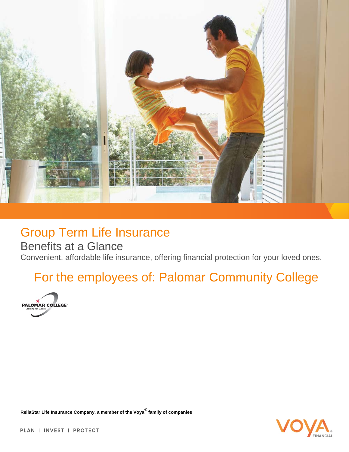

## Group Term Life Insurance

### Benefits at a Glance

Convenient, affordable life insurance, offering financial protection for your loved ones.

# For the employees of: Palomar Community College



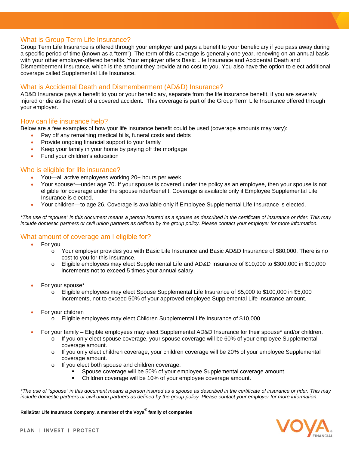#### What is Group Term Life Insurance?

Group Term Life Insurance is offered through your employer and pays a benefit to your beneficiary if you pass away during a specific period of time (known as a "term"). The term of this coverage is generally one year, renewing on an annual basis with your other employer-offered benefits. Your employer offers Basic Life Insurance and Accidental Death and Dismemberment Insurance, which is the amount they provide at no cost to you. You also have the option to elect additional coverage called Supplemental Life Insurance.

#### What is Accidental Death and Dismemberment (AD&D) Insurance?

AD&D Insurance pays a benefit to you or your beneficiary, separate from the life insurance benefit, if you are severely injured or die as the result of a covered accident. This coverage is part of the Group Term Life Insurance offered through your employer.

#### How can life insurance help?

Below are a few examples of how your life insurance benefit could be used (coverage amounts may vary):

- Pay off any remaining medical bills, funeral costs and debts
- Provide ongoing financial support to your family
- Keep your family in your home by paying off the mortgage
- Fund your children's education

#### Who is eligible for life insurance?

- You—all active employees working 20+ hours per week.
- Your spouse\*—under age 70. If your spouse is covered under the policy as an employee, then your spouse is not eligible for coverage under the spouse rider/benefit. Coverage is available only if Employee Supplemental Life Insurance is elected.
- Your children—to age 26. Coverage is available only if Employee Supplemental Life Insurance is elected.

*\*The use of "spouse" in this document means a person insured as a spouse as described in the certificate of insurance or rider. This may include domestic partners or civil union partners as defined by the group policy. Please contact your employer for more information.*

#### What amount of coverage am I eligible for?

- For you
	- o Your employer provides you with Basic Life Insurance and Basic AD&D Insurance of \$80,000. There is no cost to you for this insurance.
	- o Eligible employees may elect Supplemental Life and AD&D Insurance of \$10,000 to \$300,000 in \$10,000 increments not to exceed 5 times your annual salary.
- For your spouse\*
	- o Eligible employees may elect Spouse Supplemental Life Insurance of \$5,000 to \$100,000 in \$5,000 increments, not to exceed 50% of your approved employee Supplemental Life Insurance amount.
- For your children
	- o Eligible employees may elect Children Supplemental Life Insurance of \$10,000
- For your family Eligible employees may elect Supplemental AD&D Insurance for their spouse\* and/or children.
	- $\circ$  If you only elect spouse coverage, your spouse coverage will be 60% of your employee Supplemental coverage amount.
	- o If you only elect children coverage, your children coverage will be 20% of your employee Supplemental coverage amount.
	- o If you elect both spouse and children coverage:
		- Spouse coverage will be 50% of your employee Supplemental coverage amount.
		- Children coverage will be 10% of your employee coverage amount.

*\*The use of "spouse" in this document means a person insured as a spouse as described in the certificate of insurance or rider. This may include domestic partners or civil union partners as defined by the group policy. Please contact your employer for more information.*

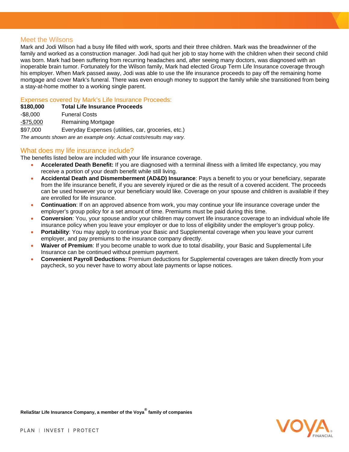#### Meet the Wilsons

Mark and Jodi Wilson had a busy life filled with work, sports and their three children. Mark was the breadwinner of the family and worked as a construction manager. Jodi had quit her job to stay home with the children when their second child was born. Mark had been suffering from recurring headaches and, after seeing many doctors, was diagnosed with an inoperable brain tumor. Fortunately for the Wilson family, Mark had elected Group Term Life Insurance coverage through his employer. When Mark passed away, Jodi was able to use the life insurance proceeds to pay off the remaining home mortgage and cover Mark's funeral. There was even enough money to support the family while she transitioned from being a stay-at-home mother to a working single parent.

#### Expenses covered by Mark's Life Insurance Proceeds:

- **\$180,000 Total Life Insurance Proceeds**
- -\$8,000 Funeral Costs
- -\$75,000 Remaining Mortgage
- \$97,000 Everyday Expenses (utilities, car, groceries, etc.)

*The amounts shown are an example only. Actual costs/results may vary.* 

#### What does my life insurance include?

The benefits listed below are included with your life insurance coverage.

- **Accelerated Death Benefit:** If you are diagnosed with a terminal illness with a limited life expectancy, you may receive a portion of your death benefit while still living.
- **Accidental Death and Dismemberment (AD&D) Insurance**: Pays a benefit to you or your beneficiary, separate from the life insurance benefit, if you are severely injured or die as the result of a covered accident. The proceeds can be used however you or your beneficiary would like. Coverage on your spouse and children is available if they are enrolled for life insurance.
- **Continuation**: If on an approved absence from work, you may continue your life insurance coverage under the employer's group policy for a set amount of time. Premiums must be paid during this time.
- **Conversion**: You, your spouse and/or your children may convert life insurance coverage to an individual whole life insurance policy when you leave your employer or due to loss of eligibility under the employer's group policy.
- **Portability:** You may apply to continue your Basic and Supplemental coverage when you leave your current employer, and pay premiums to the insurance company directly.
- **Waiver of Premium**: If you become unable to work due to total disability, your Basic and Supplemental Life Insurance can be continued without premium payment.
- **Convenient Payroll Deductions**: Premium deductions for Supplemental coverages are taken directly from your paycheck, so you never have to worry about late payments or lapse notices.

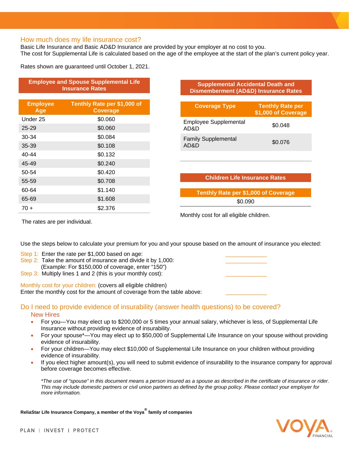#### How much does my life insurance cost?

Basic Life Insurance and Basic AD&D Insurance are provided by your employer at no cost to you. The cost for Supplemental Life is calculated based on the age of the employee at the start of the plan's current policy year.

Rates shown are guaranteed until October 1, 2021.

| <b>Employee and Spouse Supplemental Life</b><br><b>Insurance Rates</b> |                                                |  |
|------------------------------------------------------------------------|------------------------------------------------|--|
| <b>Employee</b><br>Age                                                 | Tenthly Rate per \$1,000 of<br><b>Coverage</b> |  |
| Under 25                                                               | \$0.060                                        |  |
| $25 - 29$                                                              | \$0.060                                        |  |
| 30-34                                                                  | \$0.084                                        |  |
| 35-39                                                                  | \$0.108                                        |  |
| 40-44                                                                  | \$0.132                                        |  |
| 45-49                                                                  | \$0.240                                        |  |
| 50-54                                                                  | \$0.420                                        |  |
| 55-59                                                                  | \$0.708                                        |  |
| 60-64                                                                  | \$1.140                                        |  |
| 65-69                                                                  | \$1.608                                        |  |
| $70+$                                                                  | \$2.376                                        |  |

#### **Supplemental Accidental Death and Dismemberment (AD&D) Insurance Rates**

| <b>Coverage Type</b>                 | <b>Tenthly Rate per</b><br>\$1,000 of Coverage |
|--------------------------------------|------------------------------------------------|
| <b>Employee Supplemental</b><br>AD&D | \$0.048                                        |
| <b>Family Supplemental</b><br>AD&D   | \$0.076                                        |
|                                      |                                                |
|                                      |                                                |

**Tenthly Rate per \$1,000 of Coverage**  \$0.090

**Children Life Insurance Rates** 

Monthly cost for all eligible children.

The rates are per individual.

Use the steps below to calculate your premium for you and your spouse based on the amount of insurance you elected:

- Step 1: Enter the rate per \$1,000 based on age:
- Step 2: Take the amount of insurance and divide it by 1,000: (Example: For \$150,000 of coverage, enter "150")
- Step 3: Multiply lines 1 and 2 (this is your monthly cost):

Monthly cost for your children: (covers all eligible children)

Enter the monthly cost for the amount of coverage from the table above:

#### Do I need to provide evidence of insurability (answer health questions) to be covered? New Hires

- For you—You may elect up to \$200,000 or 5 times your annual salary, whichever is less, of Supplemental Life Insurance without providing evidence of insurability.
- For your spouse\*—You may elect up to \$50,000 of Supplemental Life Insurance on your spouse without providing evidence of insurability.
- For your children—You may elect \$10,000 of Supplemental Life Insurance on your children without providing evidence of insurability.
- If you elect higher amount(s), you will need to submit evidence of insurability to the insurance company for approval before coverage becomes effective.

*\*The use of "spouse" in this document means a person insured as a spouse as described in the certificate of insurance or rider. This may include domestic partners or civil union partners as defined by the group policy. Please contact your employer for more information.*

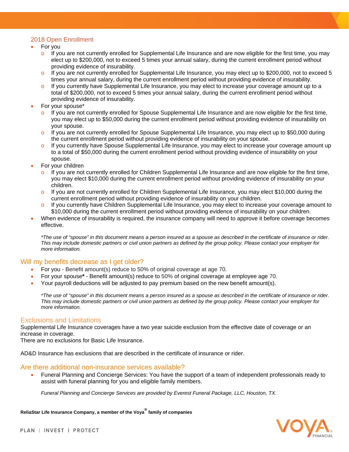#### 2018 Open Enrollment

- For you
	- If you are not currently enrolled for Supplemental Life Insurance and are now eligible for the first time, you may elect up to \$200,000, not to exceed 5 times your annual salary, during the current enrollment period without providing evidence of insurability.
	- $\circ$  If you are not currently enrolled for Supplemental Life Insurance, you may elect up to \$200,000, not to exceed 5 times your annual salary, during the current enrollment period without providing evidence of insurability.
	- If you currently have Supplemental Life Insurance, you may elect to increase your coverage amount up to a total of \$200,000, not to exceed 5 times your annual salary, during the current enrollment period without providing evidence of insurability.
- For your spouse\*
	- o If you are not currently enrolled for Spouse Supplemental Life Insurance and are now eligible for the first time, you may elect up to \$50,000 during the current enrollment period without providing evidence of insurability on your spouse.
	- o If you are not currently enrolled for Spouse Supplemental Life Insurance, you may elect up to \$50,000 during the current enrollment period without providing evidence of insurability on your spouse.
	- If you currently have Spouse Supplemental Life Insurance, you may elect to increase your coverage amount up to a total of \$50,000 during the current enrollment period without providing evidence of insurability on your spouse.
- For your children
	- $\circ$  If you are not currently enrolled for Children Supplemental Life Insurance and are now eligible for the first time, you may elect \$10,000 during the current enrollment period without providing evidence of insurability on your children.
	- o If you are not currently enrolled for Children Supplemental Life Insurance, you may elect \$10,000 during the current enrollment period without providing evidence of insurability on your children.
	- o If you currently have Children Supplemental Life Insurance, you may elect to increase your coverage amount to \$10,000 during the current enrollment period without providing evidence of insurability on your children.
- When evidence of insurability is required, the insurance company will need to approve it before coverage becomes effective.

*\*The use of "spouse" in this document means a person insured as a spouse as described in the certificate of insurance or rider. This may include domestic partners or civil union partners as defined by the group policy. Please contact your employer for more information.*

#### Will my benefits decrease as I get older?

- For you Benefit amount(s) reduce to 50% of original coverage at age 70.
- For your spouse**\*** Benefit amount(s) reduce to 50% of original coverage at employee age 70.
- Your payroll deductions will be adjusted to pay premium based on the new benefit amount(s).

*\*The use of "spouse" in this document means a person insured as a spouse as described in the certificate of insurance or rider. This may include domestic partners or civil union partners as defined by the group policy. Please contact your employer for more information.*

#### Exclusions and Limitations

Supplemental Life Insurance coverages have a two year suicide exclusion from the effective date of coverage or an increase in coverage.

There are no exclusions for Basic Life Insurance.

AD&D Insurance has exclusions that are described in the certificate of insurance or rider.

#### Are there additional non-insurance services available?

 Funeral Planning and Concierge Services: You have the support of a team of independent professionals ready to assist with funeral planning for you and eligible family members.

*Funeral Planning and Concierge Services are provided by Everest Funeral Package, LLC, Houston, TX.*